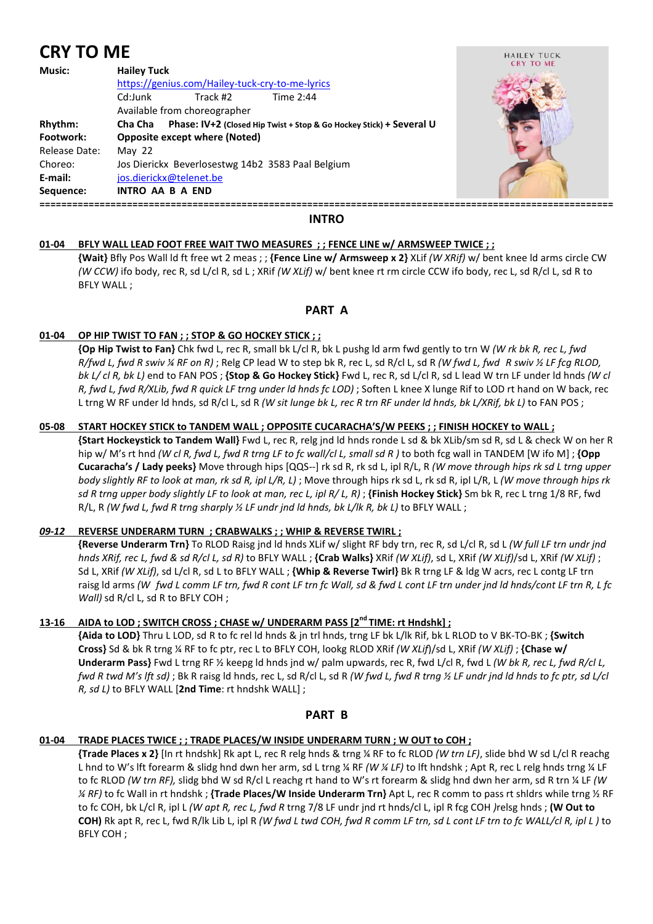# **CRY TO ME**

| Music:        | <b>Hailey Tuck</b>                                                             |  |
|---------------|--------------------------------------------------------------------------------|--|
|               | https://genius.com/Hailey-tuck-cry-to-me-lyrics                                |  |
|               | Track #2<br>Cd:Junk<br>Time 2:44                                               |  |
|               | Available from choreographer                                                   |  |
| Rhythm:       | Phase: IV+2 (Closed Hip Twist + Stop & Go Hockey Stick) + Several U<br>Cha Cha |  |
| Footwork:     | <b>Opposite except where (Noted)</b>                                           |  |
| Release Date: | May $22$                                                                       |  |
| Choreo:       | Jos Dierickx Beverlosestwg 14b2 3583 Paal Belgium                              |  |
| E-mail:       | jos.dierickx@telenet.be                                                        |  |
| Sequence:     | <b>INTRO AA B A END</b>                                                        |  |
|               |                                                                                |  |



# **INTRO**

# **01-04 BFLY WALL LEAD FOOT FREE WAIT TWO MEASURES ; ; FENCE LINE w/ ARMSWEEP TWICE ; ;**

 **{Wait}** Bfly Pos Wall ld ft free wt 2 meas ; ; **{Fence Line w/ Armsweep x 2}** XLif *(W XRif)* w/ bent knee ld arms circle CW *(W CCW)* ifo body, rec R, sd L/cl R, sd L ; XRif *(W XLif)* w/ bent knee rt rm circle CCW ifo body, rec L, sd R/cl L, sd R to BFLY WALL ;

# **PART A**

# **01-04 OP HIP TWIST TO FAN ; ; STOP & GO HOCKEY STICK ; ;**

**{Op Hip Twist to Fan}** Chk fwd L, rec R, small bk L/cl R, bk L pushg ld arm fwd gently to trn W *(W rk bk R, rec L, fwd R/fwd L, fwd R swiv ¼ RF on R)* ; Relg CP lead W to step bk R, rec L, sd R/cl L, sd R *(W fwd L, fwd R swiv ½ LF fcg RLOD, bk L/ cl R, bk L)* end to FAN POS ; **{Stop & Go Hockey Stick}** Fwd L, rec R, sd L/cl R, sd L lead W trn LF under ld hnds *(W cl R, fwd L, fwd R/XLib, fwd R quick LF trng under ld hnds fc LOD)* ; Soften L knee X lunge Rif to LOD rt hand on W back, rec L trng W RF under ld hnds, sd R/cl L, sd R *(W sit lunge bk L, rec R trn RF under ld hnds, bk L/XRif, bk L)* to FAN POS ;

# **05-08 START HOCKEY STICK to TANDEM WALL ; OPPOSITE CUCARACHA'S/W PEEKS ; ; FINISH HOCKEY to WALL ;**

 **{Start Hockeystick to Tandem Wall}** Fwd L, rec R, relg jnd ld hnds ronde L sd & bk XLib/sm sd R, sd L & check W on her R hip w/ M's rt hnd *(W cl R, fwd L, fwd R trng LF to fc wall/cl L, small sd R )* to both fcg wall in TANDEM [W ifo M] ; **{Opp Cucaracha's / Lady peeks}** Move through hips [QQS--] rk sd R, rk sd L, ipl R/L, R *(W move through hips rk sd L trng upper body slightly RF to look at man, rk sd R, ipl L/R, L)* ; Move through hips rk sd L, rk sd R, ipl L/R, L *(W move through hips rk sd R trng upper body slightly LF to look at man, rec L, ipl R/ L, R)* ; **{Finish Hockey Stick}** Sm bk R, rec L trng 1/8 RF, fwd R/L, R *(W fwd L, fwd R trng sharply ½ LF undr jnd ld hnds, bk L/lk R, bk L)* to BFLY WALL ;

# *09-12* **REVERSE UNDERARM TURN ; CRABWALKS ; ; WHIP & REVERSE TWIRL ;**

 **{Reverse Underarm Trn}** To RLOD Raisg jnd ld hnds XLif w/ slight RF bdy trn, rec R, sd L/cl R, sd L *(W full LF trn undr jnd hnds XRif, rec L, fwd & sd R/cl L, sd R)* to BFLY WALL ; **{Crab Walks}** XRif *(W XLif)*, sd L, XRif *(W XLif)*/sd L, XRif *(W XLif)* ; Sd L, XRif *(W XLif)*, sd L/cl R, sd L to BFLY WALL ; **{Whip & Reverse Twirl}** Bk R trng LF & ldg W acrs, rec L contg LF trn raisg ld arms *(W fwd L comm LF trn, fwd R cont LF trn fc Wall, sd & fwd L cont LF trn under jnd ld hnds/cont LF trn R, L fc Wall*) sd R/cl L, sd R to BFLY COH ;

# 13-16 AIDA to LOD ; SWITCH CROSS ; CHASE w/ UNDERARM PASS [2<sup>nd</sup> TIME: rt Hndshk] ;

 **{Aida to LOD}** Thru L LOD, sd R to fc rel ld hnds & jn trl hnds, trng LF bk L/lk Rif, bk L RLOD to V BK-TO-BK ; **{Switch Cross}** Sd & bk R trng ¼ RF to fc ptr, rec L to BFLY COH, lookg RLOD XRif *(W XLif*)/sd L, XRif *(W XLif)* ; **{Chase w/ Underarm Pass**} Fwd L trng RF 1/2 keepg ld hnds jnd w/ palm upwards, rec R, fwd L/cl R, fwd L *(W bk R, rec L, fwd R/cl L, fwd R twd M's lft sd)* ; Bk R raisg ld hnds, rec L, sd R/cl L, sd R *(W fwd L, fwd R trng ½ LF undr jnd ld hnds to fc ptr, sd L/cl R, sd L)* to BFLY WALL [**2nd Time**: rt hndshk WALL] ;

# **PART B**

# **01-04 TRADE PLACES TWICE ; ; TRADE PLACES/W INSIDE UNDERARM TURN ; W OUT to COH ;**

 **{Trade Places x 2}** [In rt hndshk] Rk apt L, rec R relg hnds & trng ¼ RF to fc RLOD *(W trn LF)*, slide bhd W sd L/cl R reachg L hnd to W's lft forearm & slidg hnd dwn her arm, sd L trng ¼ RF *(W ¼ LF)* to lft hndshk ; Apt R, rec L relg hnds trng ¼ LF to fc RLOD *(W trn RF),* slidg bhd W sd R/cl L reachg rt hand to W's rt forearm & slidg hnd dwn her arm, sd R trn ¼ LF *(W ¼ RF)* to fc Wall in rt hndshk ; **{Trade Places/W Inside Underarm Trn}** Apt L, rec R comm to pass rt shldrs while trng ½ RF to fc COH, bk L/cl R, ipl L *(W apt R, rec L, fwd R* trng 7/8 LF undr jnd rt hnds/cl L, ipl R fcg COH *)*relsg hnds ; **(W Out to COH)** Rk apt R, rec L, fwd R/lk Lib L, ipl R *(W fwd L twd COH, fwd R comm LF trn, sd L cont LF trn to fc WALL/cl R, ipl L )* to BFLY COH ;